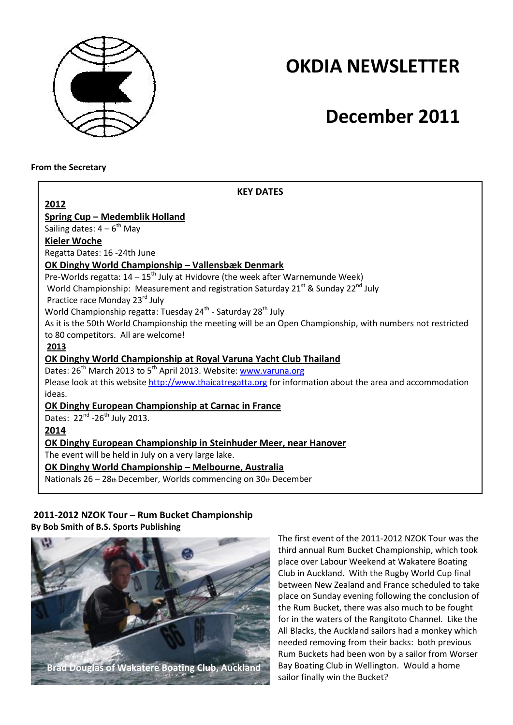

## **OKDIA NEWSLETTER**

# **December 2011**

**From the Secretary**

| <b>KEY DATES</b>                                                                                           |  |  |  |  |  |
|------------------------------------------------------------------------------------------------------------|--|--|--|--|--|
| 2012                                                                                                       |  |  |  |  |  |
| <b>Spring Cup - Medemblik Holland</b>                                                                      |  |  |  |  |  |
| Sailing dates: $4-6^{th}$ May                                                                              |  |  |  |  |  |
| <b>Kieler Woche</b>                                                                                        |  |  |  |  |  |
| Regatta Dates: 16 -24th June                                                                               |  |  |  |  |  |
| <b>OK Dinghy World Championship - Vallensbæk Denmark</b>                                                   |  |  |  |  |  |
| Pre-Worlds regatta: $14 - 15$ <sup>th</sup> July at Hvidovre (the week after Warnemunde Week)              |  |  |  |  |  |
| World Championship: Measurement and registration Saturday 21 <sup>st</sup> & Sunday 22 <sup>nd</sup> July  |  |  |  |  |  |
| Practice race Monday 23rd July                                                                             |  |  |  |  |  |
| World Championship regatta: Tuesday 24 <sup>th</sup> - Saturday 28 <sup>th</sup> July                      |  |  |  |  |  |
| As it is the 50th World Championship the meeting will be an Open Championship, with numbers not restricted |  |  |  |  |  |
| to 80 competitors. All are welcome!                                                                        |  |  |  |  |  |
| 2013                                                                                                       |  |  |  |  |  |
| <b>OK Dinghy World Championship at Royal Varuna Yacht Club Thailand</b>                                    |  |  |  |  |  |
| Dates: 26 <sup>th</sup> March 2013 to 5 <sup>th</sup> April 2013. Website: www.varuna.org                  |  |  |  |  |  |
| Please look at this website http://www.thaicatregatta.org for information about the area and accommodation |  |  |  |  |  |
| ideas.                                                                                                     |  |  |  |  |  |
| OK Dinghy European Championship at Carnac in France                                                        |  |  |  |  |  |
| Dates: 22 <sup>nd</sup> -26 <sup>th</sup> July 2013.                                                       |  |  |  |  |  |
| 2014                                                                                                       |  |  |  |  |  |
| OK Dinghy European Championship in Steinhuder Meer, near Hanover                                           |  |  |  |  |  |
| The event will be held in July on a very large lake.                                                       |  |  |  |  |  |
| OK Dinghy World Championship - Melbourne, Australia                                                        |  |  |  |  |  |
| Nationals 26 - 28th December, Worlds commencing on 30th December                                           |  |  |  |  |  |
|                                                                                                            |  |  |  |  |  |

#### **2011-2012 NZOK Tour – Rum Bucket Championship By Bob Smith of B.S. Sports Publishing**



The first event of the 2011-2012 NZOK Tour was the third annual Rum Bucket Championship, which took place over Labour Weekend at Wakatere Boating Club in Auckland. With the Rugby World Cup final between New Zealand and France scheduled to take place on Sunday evening following the conclusion of the Rum Bucket, there was also much to be fought for in the waters of the Rangitoto Channel. Like the All Blacks, the Auckland sailors had a monkey which needed removing from their backs: both previous Rum Buckets had been won by a sailor from Worser Bay Boating Club in Wellington. Would a home sailor finally win the Bucket?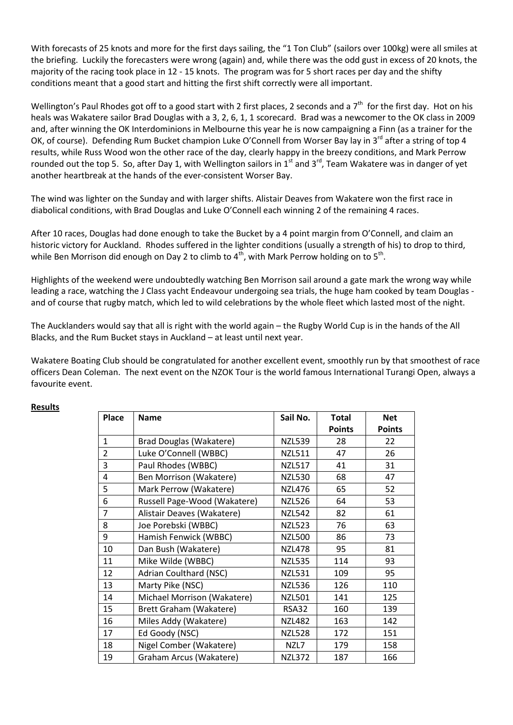With forecasts of 25 knots and more for the first days sailing, the "1 Ton Club" (sailors over 100kg) were all smiles at the briefing. Luckily the forecasters were wrong (again) and, while there was the odd gust in excess of 20 knots, the majority of the racing took place in 12 - 15 knots. The program was for 5 short races per day and the shifty conditions meant that a good start and hitting the first shift correctly were all important.

Wellington's Paul Rhodes got off to a good start with 2 first places, 2 seconds and a  $7<sup>th</sup>$  for the first day. Hot on his heals was Wakatere sailor Brad Douglas with a 3, 2, 6, 1, 1 scorecard. Brad was a newcomer to the OK class in 2009 and, after winning the OK Interdominions in Melbourne this year he is now campaigning a Finn (as a trainer for the OK, of course). Defending Rum Bucket champion Luke O'Connell from Worser Bay lay in 3<sup>rd</sup> after a string of top 4 results, while Russ Wood won the other race of the day, clearly happy in the breezy conditions, and Mark Perrow rounded out the top 5. So, after Day 1, with Wellington sailors in  $1^{st}$  and  $3^{rd}$ , Team Wakatere was in danger of yet another heartbreak at the hands of the ever-consistent Worser Bay.

The wind was lighter on the Sunday and with larger shifts. Alistair Deaves from Wakatere won the first race in diabolical conditions, with Brad Douglas and Luke O'Connell each winning 2 of the remaining 4 races.

After 10 races, Douglas had done enough to take the Bucket by a 4 point margin from O'Connell, and claim an historic victory for Auckland. Rhodes suffered in the lighter conditions (usually a strength of his) to drop to third, while Ben Morrison did enough on Day 2 to climb to  $4^{\text{th}}$ , with Mark Perrow holding on to 5<sup>th</sup>.

Highlights of the weekend were undoubtedly watching Ben Morrison sail around a gate mark the wrong way while leading a race, watching the J Class yacht Endeavour undergoing sea trials, the huge ham cooked by team Douglas and of course that rugby match, which led to wild celebrations by the whole fleet which lasted most of the night.

The Aucklanders would say that all is right with the world again – the Rugby World Cup is in the hands of the All Blacks, and the Rum Bucket stays in Auckland – at least until next year.

Wakatere Boating Club should be congratulated for another excellent event, smoothly run by that smoothest of race officers Dean Coleman. The next event on the NZOK Tour is the world famous International Turangi Open, always a favourite event.

| <b>Place</b>   | <b>Name</b>                    | Sail No.      | <b>Total</b>  | <b>Net</b>    |
|----------------|--------------------------------|---------------|---------------|---------------|
|                |                                |               | <b>Points</b> | <b>Points</b> |
| $\mathbf{1}$   | <b>Brad Douglas (Wakatere)</b> | <b>NZL539</b> | 28            | 22            |
| $\overline{2}$ | Luke O'Connell (WBBC)          | NZL511        | 47            | 26            |
| 3              | Paul Rhodes (WBBC)             | <b>NZL517</b> | 41            | 31            |
| 4              | Ben Morrison (Wakatere)        | <b>NZL530</b> | 68            | 47            |
| 5              | Mark Perrow (Wakatere)         | <b>NZL476</b> | 65            | 52            |
| 6              | Russell Page-Wood (Wakatere)   | <b>NZL526</b> | 64            | 53            |
| $\overline{7}$ | Alistair Deaves (Wakatere)     | <b>NZL542</b> | 82            | 61            |
| 8              | Joe Porebski (WBBC)            | <b>NZL523</b> | 76            | 63            |
| 9              | Hamish Fenwick (WBBC)          | <b>NZL500</b> | 86            | 73            |
| 10             | Dan Bush (Wakatere)            | <b>NZL478</b> | 95            | 81            |
| 11             | Mike Wilde (WBBC)              | <b>NZL535</b> | 114           | 93            |
| 12             | <b>Adrian Coulthard (NSC)</b>  | <b>NZL531</b> | 109           | 95            |
| 13             | Marty Pike (NSC)               | <b>NZL536</b> | 126           | 110           |
| 14             | Michael Morrison (Wakatere)    | <b>NZL501</b> | 141           | 125           |
| 15             | Brett Graham (Wakatere)        | <b>RSA32</b>  | 160           | 139           |
| 16             | Miles Addy (Wakatere)          | <b>NZL482</b> | 163           | 142           |
| 17             | Ed Goody (NSC)                 | <b>NZL528</b> | 172           | 151           |
| 18             | Nigel Comber (Wakatere)        | NZL7          | 179           | 158           |
| 19             | Graham Arcus (Wakatere)        | <b>NZL372</b> | 187           | 166           |

#### **Results**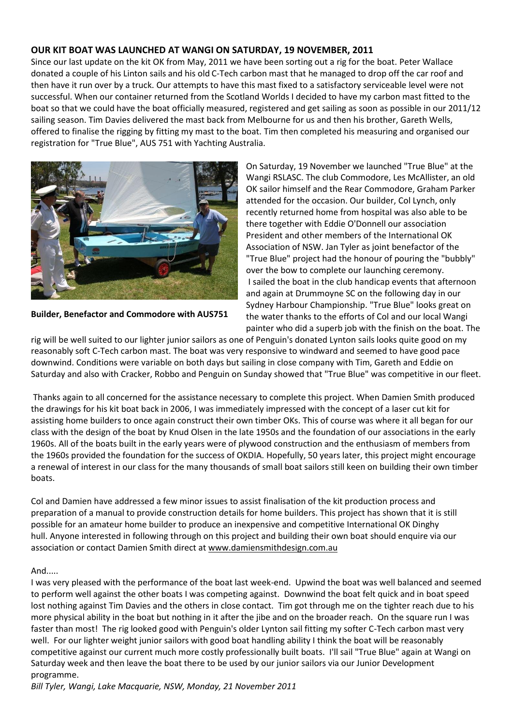### **OUR KIT BOAT WAS LAUNCHED AT WANGI ON SATURDAY, 19 NOVEMBER, 2011**

Since our last update on the kit OK from May, 2011 we have been sorting out a rig for the boat. Peter Wallace donated a couple of his Linton sails and his old C-Tech carbon mast that he managed to drop off the car roof and then have it run over by a truck. Our attempts to have this mast fixed to a satisfactory serviceable level were not successful. When our container returned from the Scotland Worlds I decided to have my carbon mast fitted to the boat so that we could have the boat officially measured, registered and get sailing as soon as possible in our 2011/12 sailing season. Tim Davies delivered the mast back from Melbourne for us and then his brother, Gareth Wells, offered to finalise the rigging by fitting my mast to the boat. Tim then completed his measuring and organised our registration for "True Blue", AUS 751 with Yachting Australia.



**Builder, Benefactor and Commodore with AUS751**

On Saturday, 19 November we launched "True Blue" at the Wangi RSLASC. The club Commodore, Les McAllister, an old OK sailor himself and the Rear Commodore, Graham Parker attended for the occasion. Our builder, Col Lynch, only recently returned home from hospital was also able to be there together with Eddie O'Donnell our association President and other members of the International OK Association of NSW. Jan Tyler as joint benefactor of the "True Blue" project had the honour of pouring the "bubbly" over the bow to complete our launching ceremony. I sailed the boat in the club handicap events that afternoon and again at Drummoyne SC on the following day in our Sydney Harbour Championship. "True Blue" looks great on the water thanks to the efforts of Col and our local Wangi painter who did a superb job with the finish on the boat. The

rig will be well suited to our lighter junior sailors as one of Penguin's donated Lynton sails looks quite good on my reasonably soft C-Tech carbon mast. The boat was very responsive to windward and seemed to have good pace downwind. Conditions were variable on both days but sailing in close company with Tim, Gareth and Eddie on Saturday and also with Cracker, Robbo and Penguin on Sunday showed that "True Blue" was competitive in our fleet.

Thanks again to all concerned for the assistance necessary to complete this project. When Damien Smith produced the drawings for his kit boat back in 2006, I was immediately impressed with the concept of a laser cut kit for assisting home builders to once again construct their own timber OKs. This of course was where it all began for our class with the design of the boat by Knud Olsen in the late 1950s and the foundation of our associations in the early 1960s. All of the boats built in the early years were of plywood construction and the enthusiasm of members from the 1960s provided the foundation for the success of OKDIA. Hopefully, 50 years later, this project might encourage a renewal of interest in our class for the many thousands of small boat sailors still keen on building their own timber boats.

Col and Damien have addressed a few minor issues to assist finalisation of the kit production process and preparation of a manual to provide construction details for home builders. This project has shown that it is still possible for an amateur home builder to produce an inexpensive and competitive International OK Dinghy hull. Anyone interested in following through on this project and building their own boat should enquire via our association or contact Damien Smith direct at [www.damiensmithdesign.com.au](http://www.damiensmithdesign.com.au/)

#### And.....

I was very pleased with the performance of the boat last week-end. Upwind the boat was well balanced and seemed to perform well against the other boats I was competing against. Downwind the boat felt quick and in boat speed lost nothing against Tim Davies and the others in close contact. Tim got through me on the tighter reach due to his more physical ability in the boat but nothing in it after the jibe and on the broader reach. On the square run I was faster than most! The rig looked good with Penguin's older Lynton sail fitting my softer C-Tech carbon mast very well. For our lighter weight junior sailors with good boat handling ability I think the boat will be reasonably competitive against our current much more costly professionally built boats. I'll sail "True Blue" again at Wangi on Saturday week and then leave the boat there to be used by our junior sailors via our Junior Development programme.